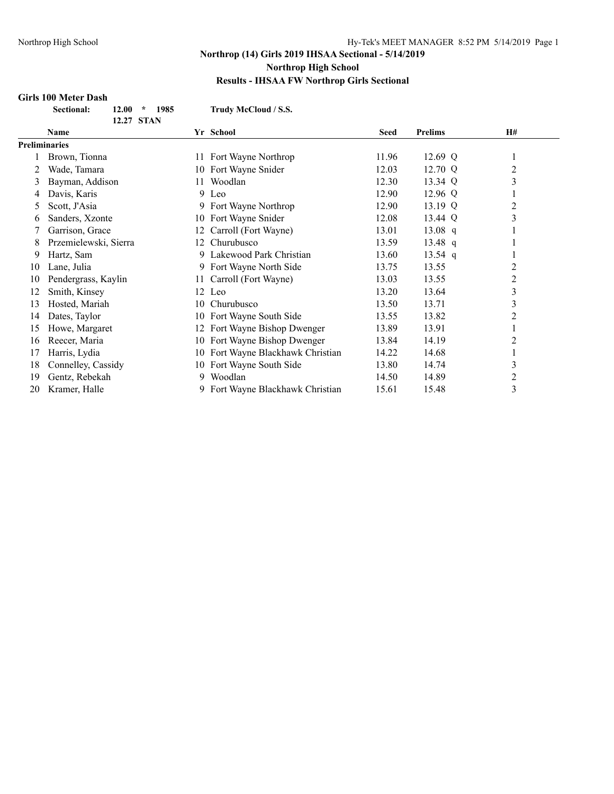#### **Girls 100 Meter Dash**

| <b>Sectional:</b> | $12.00 * 1985$ |  |
|-------------------|----------------|--|
|                   | 12.27 STAN     |  |

**Sectional: 12.00 \* 1985 Trudy McCloud / S.S.**

|               | <b>Name</b>           |    | Yr School                      | <b>Seed</b> | <b>Prelims</b> | H#             |
|---------------|-----------------------|----|--------------------------------|-------------|----------------|----------------|
| Preliminaries |                       |    |                                |             |                |                |
|               | Brown, Tionna         | 11 | Fort Wayne Northrop            | 11.96       | 12.69 Q        |                |
| 2             | Wade, Tamara          | 10 | Fort Wayne Snider              | 12.03       | 12.70 Q        | $\overline{c}$ |
| 3             | Bayman, Addison       | 11 | Woodlan                        | 12.30       | 13.34 Q        | 3              |
| 4             | Davis, Karis          |    | 9 Leo                          | 12.90       | 12.96 Q        |                |
| 5             | Scott, J'Asia         | 9  | Fort Wayne Northrop            | 12.90       | 13.19 Q        | 2              |
| 6             | Sanders, Xzonte       | 10 | Fort Wayne Snider              | 12.08       | 13.44 Q        | 3              |
|               | Garrison, Grace       | 12 | Carroll (Fort Wayne)           | 13.01       | 13.08 q        |                |
| 8             | Przemielewski, Sierra | 12 | Churubusco                     | 13.59       | 13.48 q        |                |
| 9             | Hartz, Sam            | 9  | Lakewood Park Christian        | 13.60       | 13.54 q        |                |
| 10            | Lane, Julia           | 9  | Fort Wayne North Side          | 13.75       | 13.55          | 2              |
| 10            | Pendergrass, Kaylin   | 11 | Carroll (Fort Wayne)           | 13.03       | 13.55          | 2              |
| 12            | Smith, Kinsey         |    | 12 Leo                         | 13.20       | 13.64          | 3              |
| 13            | Hosted, Mariah        | 10 | Churubusco                     | 13.50       | 13.71          | 3              |
| 14            | Dates, Taylor         | 10 | Fort Wayne South Side          | 13.55       | 13.82          | 2              |
| 15            | Howe, Margaret        | 12 | Fort Wayne Bishop Dwenger      | 13.89       | 13.91          |                |
| 16            | Reecer, Maria         | 10 | Fort Wayne Bishop Dwenger      | 13.84       | 14.19          | 2              |
| 17            | Harris, Lydia         | 10 | Fort Wayne Blackhawk Christian | 14.22       | 14.68          |                |
| 18            | Connelley, Cassidy    | 10 | Fort Wayne South Side          | 13.80       | 14.74          | 3              |
| 19            | Gentz, Rebekah        | 9  | Woodlan                        | 14.50       | 14.89          | $\overline{c}$ |
| 20            | Kramer, Halle         | 9  | Fort Wayne Blackhawk Christian | 15.61       | 15.48          | 3              |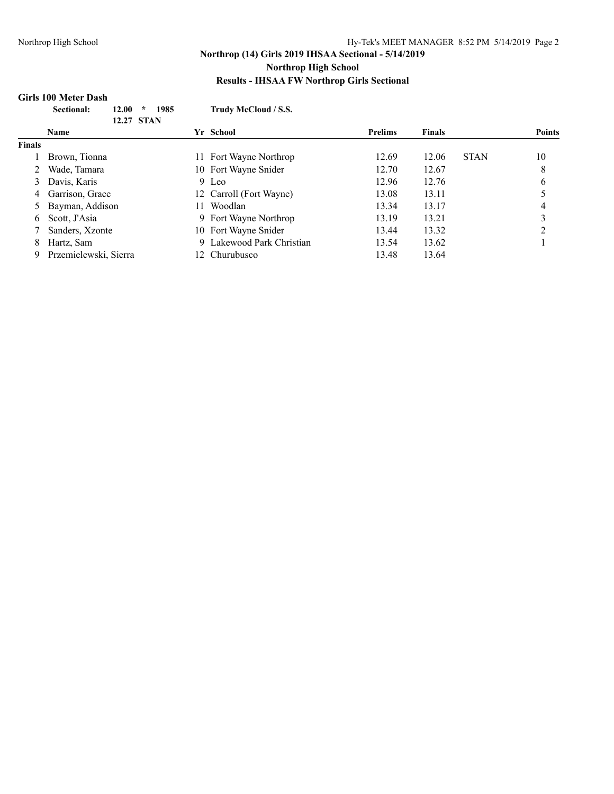## **Girls 100 Meter Dash**

|               | Sectional:<br>12.00<br>÷<br>12.27 STAN | Trudy McCloud / S.S.<br>1985 |                |               |             |               |
|---------------|----------------------------------------|------------------------------|----------------|---------------|-------------|---------------|
|               | <b>Name</b>                            | Yr School                    | <b>Prelims</b> | <b>Finals</b> |             | <b>Points</b> |
| <b>Finals</b> |                                        |                              |                |               |             |               |
|               | Brown, Tionna                          | Fort Wayne Northrop<br>11.   | 12.69          | 12.06         | <b>STAN</b> | 10            |
|               | Wade, Tamara                           | 10 Fort Wayne Snider         | 12.70          | 12.67         |             | 8             |
| 3             | Davis, Karis                           | 9 Leo                        | 12.96          | 12.76         |             | 6             |
| 4             | Garrison, Grace                        | 12 Carroll (Fort Wayne)      | 13.08          | 13.11         |             |               |
| 5             | Bayman, Addison                        | Woodlan<br>11.               | 13.34          | 13.17         |             | 4             |
| 6             | Scott, J'Asia                          | 9 Fort Wayne Northrop        | 13.19          | 13.21         |             | 3             |
|               | Sanders, Xzonte                        | 10 Fort Wayne Snider         | 13.44          | 13.32         |             |               |
| 8             | Hartz, Sam                             | 9 Lakewood Park Christian    | 13.54          | 13.62         |             |               |
| 9.            | Przemielewski, Sierra                  | 12 Churubusco                | 13.48          | 13.64         |             |               |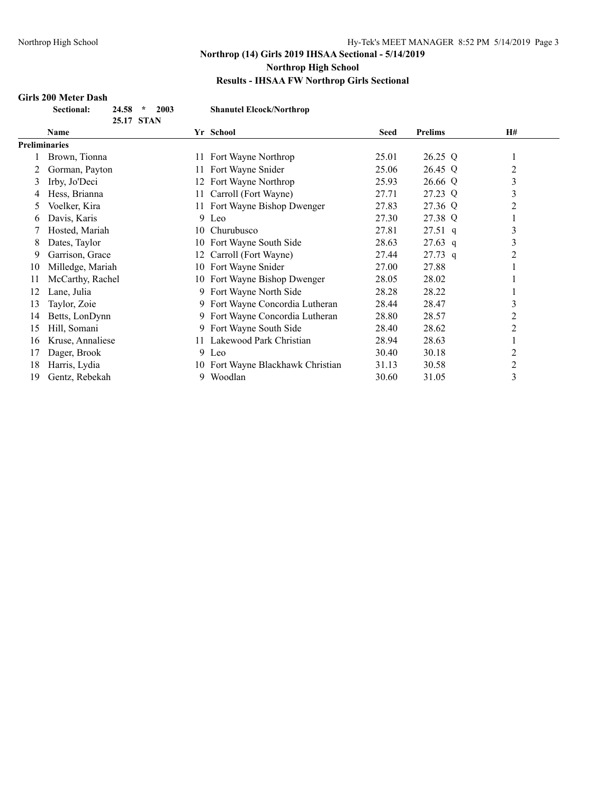## **Girls 200 Meter Dash**

| <b>Sectional:</b> | $24.58$ *  | 2003 |
|-------------------|------------|------|
|                   | 25.17 STAN |      |

 $\mathbf{Shanutel}\n \textbf{Elock/Northrop}$ 

|    | $2.3.17 \pm 0.1713$  |     |                                 |             |                |                |  |
|----|----------------------|-----|---------------------------------|-------------|----------------|----------------|--|
|    | Name                 |     | Yr School                       | <b>Seed</b> | <b>Prelims</b> | <b>H#</b>      |  |
|    | <b>Preliminaries</b> |     |                                 |             |                |                |  |
|    | Brown, Tionna        | 11  | Fort Wayne Northrop             | 25.01       | 26.25 Q        |                |  |
|    | Gorman, Payton       | 11  | Fort Wayne Snider               | 25.06       | 26.45 Q        | $\overline{c}$ |  |
| 3  | Irby, Jo'Deci        | 12  | Fort Wayne Northrop             | 25.93       | 26.66 Q        | 3              |  |
| 4  | Hess, Brianna        | 11  | Carroll (Fort Wayne)            | 27.71       | 27.23 Q        | 3              |  |
| 5. | Voelker, Kira        | 11- | Fort Wayne Bishop Dwenger       | 27.83       | 27.36 Q        | $\overline{2}$ |  |
| 6  | Davis, Karis         |     | 9 Leo                           | 27.30       | 27.38 Q        | $\mathbf{I}$   |  |
|    | Hosted, Mariah       |     | 10 Churubusco                   | 27.81       | $27.51$ q      | 3              |  |
| 8  | Dates, Taylor        | 10. | Fort Wayne South Side           | 28.63       | $27.63$ q      | 3              |  |
| 9  | Garrison, Grace      | 12  | Carroll (Fort Wayne)            | 27.44       | $27.73$ q      | $\overline{2}$ |  |
| 10 | Milledge, Mariah     | 10- | Fort Wayne Snider               | 27.00       | 27.88          |                |  |
| 11 | McCarthy, Rachel     |     | 10 Fort Wayne Bishop Dwenger    | 28.05       | 28.02          |                |  |
| 12 | Lane, Julia          |     | 9 Fort Wayne North Side         | 28.28       | 28.22          |                |  |
| 13 | Taylor, Zoie         | 9   | Fort Wayne Concordia Lutheran   | 28.44       | 28.47          | 3              |  |
| 14 | Betts, LonDynn       |     | 9 Fort Wayne Concordia Lutheran | 28.80       | 28.57          | $\overline{c}$ |  |
| 15 | Hill, Somani         |     | 9 Fort Wayne South Side         | 28.40       | 28.62          | $\overline{2}$ |  |
| 16 | Kruse, Annaliese     | 11. | Lakewood Park Christian         | 28.94       | 28.63          |                |  |
| 17 | Dager, Brook         |     | 9 Leo                           | 30.40       | 30.18          | 2              |  |
| 18 | Harris, Lydia        | 10. | Fort Wayne Blackhawk Christian  | 31.13       | 30.58          | $\overline{2}$ |  |
| 19 | Gentz, Rebekah       | 9.  | Woodlan                         | 30.60       | 31.05          | 3              |  |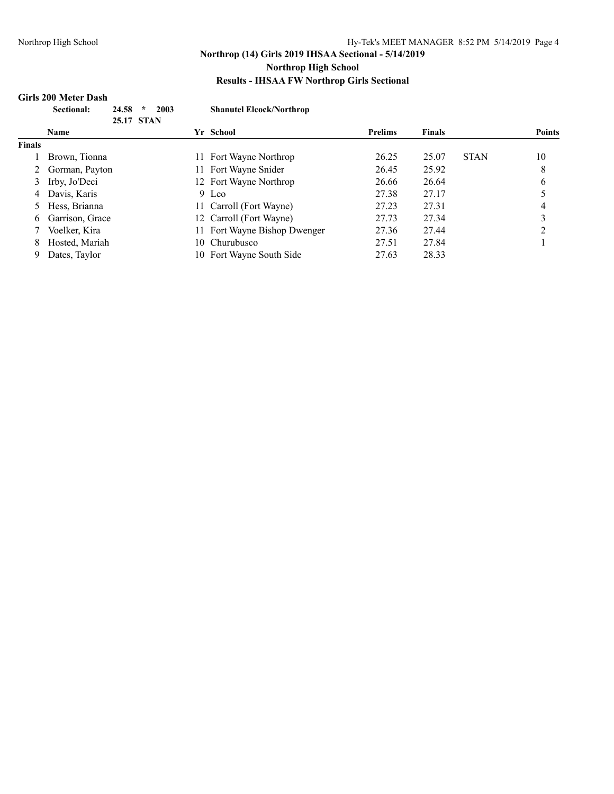## **Girls 200 Meter Dash**

|               | <b>Sectional:</b> | 24.58<br>$\star$<br>2003 |     | <b>Shanutel Elcock/Northrop</b> |                |               |             |               |
|---------------|-------------------|--------------------------|-----|---------------------------------|----------------|---------------|-------------|---------------|
|               | Name              | 25.17 STAN               |     | Yr School                       | <b>Prelims</b> | <b>Finals</b> |             | <b>Points</b> |
| <b>Finals</b> |                   |                          |     |                                 |                |               |             |               |
|               | Brown, Tionna     |                          | 11  | Fort Wayne Northrop             | 26.25          | 25.07         | <b>STAN</b> | 10            |
|               | Gorman, Payton    |                          | 11  | Fort Wayne Snider               | 26.45          | 25.92         |             | 8             |
| 3             | Irby, Jo'Deci     |                          |     | 12 Fort Wayne Northrop          | 26.66          | 26.64         |             | 6             |
| 4             | Davis, Karis      |                          |     | 9 Leo                           | 27.38          | 27.17         |             |               |
| 5             | Hess, Brianna     |                          |     | 11 Carroll (Fort Wayne)         | 27.23          | 27.31         |             | 4             |
| 6             | Garrison, Grace   |                          |     | 12 Carroll (Fort Wayne)         | 27.73          | 27.34         |             | 3             |
|               | Voelker, Kira     |                          |     | 11 Fort Wayne Bishop Dwenger    | 27.36          | 27.44         |             |               |
| 8             | Hosted, Mariah    |                          | 10. | Churubusco                      | 27.51          | 27.84         |             |               |
| 9             | Dates, Taylor     |                          |     | 10 Fort Wayne South Side        | 27.63          | 28.33         |             |               |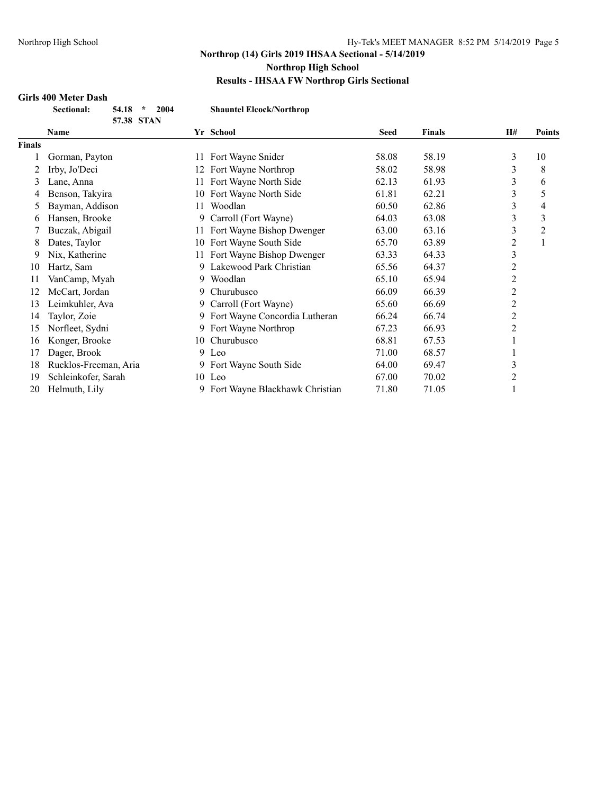## **Girls 400 Meter Dash**

|  | <b>Sectional:</b> | $54.18 * 2004$ |  |
|--|-------------------|----------------|--|
|  |                   | 57.38 STAN     |  |
|  |                   |                |  |

 $\mathbf{Shauntel} \text{Elock/Northrop}$ 

|               | <b>Name</b>           |    | Yr School                       | <b>Seed</b> | <b>Finals</b> | H#             | <b>Points</b> |
|---------------|-----------------------|----|---------------------------------|-------------|---------------|----------------|---------------|
| <b>Finals</b> |                       |    |                                 |             |               |                |               |
|               | Gorman, Payton        | 11 | Fort Wayne Snider               | 58.08       | 58.19         | 3              | 10            |
|               | Irby, Jo'Deci         | 12 | Fort Wayne Northrop             | 58.02       | 58.98         | 3              | 8             |
| 3             | Lane, Anna            | 11 | Fort Wayne North Side           | 62.13       | 61.93         | 3              | 6             |
| 4             | Benson, Takyira       |    | 10 Fort Wayne North Side        | 61.81       | 62.21         | 3              | 5             |
| 5.            | Bayman, Addison       | 11 | Woodlan                         | 60.50       | 62.86         | 3              | 4             |
| 6             | Hansen, Brooke        | 9. | Carroll (Fort Wayne)            | 64.03       | 63.08         | 3              | 3             |
|               | Buczak, Abigail       |    | 11 Fort Wayne Bishop Dwenger    | 63.00       | 63.16         | 3              | 2             |
| 8             | Dates, Taylor         | 10 | Fort Wayne South Side           | 65.70       | 63.89         | 2              | 1             |
| 9             | Nix, Katherine        |    | Fort Wayne Bishop Dwenger       | 63.33       | 64.33         | $\mathfrak{Z}$ |               |
| 10            | Hartz, Sam            |    | 9 Lakewood Park Christian       | 65.56       | 64.37         | 2              |               |
| 11            | VanCamp, Myah         | 9. | Woodlan                         | 65.10       | 65.94         | 2              |               |
| 12            | McCart, Jordan        | 9  | Churubusco                      | 66.09       | 66.39         | 2              |               |
| 13            | Leimkuhler, Ava       |    | 9 Carroll (Fort Wayne)          | 65.60       | 66.69         | 2              |               |
| 14            | Taylor, Zoie          |    | 9 Fort Wayne Concordia Lutheran | 66.24       | 66.74         | $\overline{2}$ |               |
| 15            | Norfleet, Sydni       |    | 9 Fort Wayne Northrop           | 67.23       | 66.93         | $\overline{2}$ |               |
| 16            | Konger, Brooke        | 10 | Churubusco                      | 68.81       | 67.53         |                |               |
| 17            | Dager, Brook          |    | 9 Leo                           | 71.00       | 68.57         |                |               |
| 18            | Rucklos-Freeman, Aria |    | 9 Fort Wayne South Side         | 64.00       | 69.47         | 3              |               |
| 19            | Schleinkofer, Sarah   |    | 10 Leo                          | 67.00       | 70.02         | 2              |               |
| 20            | Helmuth, Lily         | 9. | Fort Wayne Blackhawk Christian  | 71.80       | 71.05         |                |               |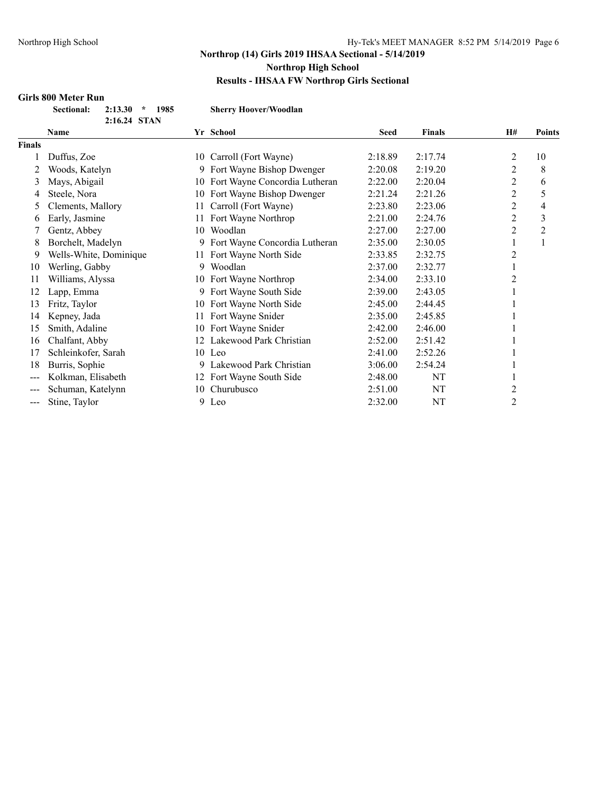#### **Girls 800 Meter Run**

| <b>Sectional:</b> | 2:13.30      | 198 |
|-------------------|--------------|-----|
|                   | 2:16.24 STAN |     |

**Sectional: 2:13.30 \* 1985 Sherry Hoover/Woodlan**

|               | <b>Name</b>            |    | Yr School                        | <b>Seed</b> | <b>Finals</b> | <b>H#</b>      | <b>Points</b> |
|---------------|------------------------|----|----------------------------------|-------------|---------------|----------------|---------------|
| <b>Finals</b> |                        |    |                                  |             |               |                |               |
|               | Duffus, Zoe            | 10 | Carroll (Fort Wayne)             | 2:18.89     | 2:17.74       | 2              | 10            |
|               | Woods, Katelyn         |    | 9 Fort Wayne Bishop Dwenger      | 2:20.08     | 2:19.20       | 2              | 8             |
| 3             | Mays, Abigail          |    | 10 Fort Wayne Concordia Lutheran | 2:22.00     | 2:20.04       | $\overline{c}$ | 6             |
| 4             | Steele, Nora           | 10 | Fort Wayne Bishop Dwenger        | 2:21.24     | 2:21.26       | 2              | 5             |
| 5             | Clements, Mallory      | 11 | Carroll (Fort Wayne)             | 2:23.80     | 2:23.06       | 2              | 4             |
| 6             | Early, Jasmine         | 11 | Fort Wayne Northrop              | 2:21.00     | 2:24.76       | $\overline{c}$ | 3             |
|               | Gentz, Abbey           | 10 | Woodlan                          | 2:27.00     | 2:27.00       | 2              | 2             |
| 8             | Borchelt, Madelyn      |    | 9 Fort Wayne Concordia Lutheran  | 2:35.00     | 2:30.05       |                |               |
| 9             | Wells-White, Dominique | 11 | Fort Wayne North Side            | 2:33.85     | 2:32.75       | 2              |               |
| 10            | Werling, Gabby         | 9  | Woodlan                          | 2:37.00     | 2:32.77       |                |               |
| 11            | Williams, Alyssa       |    | 10 Fort Wayne Northrop           | 2:34.00     | 2:33.10       | 2              |               |
| 12            | Lapp, Emma             | 9  | Fort Wayne South Side            | 2:39.00     | 2:43.05       |                |               |
| 13            | Fritz, Taylor          | 10 | Fort Wayne North Side            | 2:45.00     | 2:44.45       |                |               |
| 14            | Kepney, Jada           | 11 | Fort Wayne Snider                | 2:35.00     | 2:45.85       |                |               |
| 15            | Smith, Adaline         |    | 10 Fort Wayne Snider             | 2:42.00     | 2:46.00       |                |               |
| 16            | Chalfant, Abby         |    | 12 Lakewood Park Christian       | 2:52.00     | 2:51.42       |                |               |
| 17            | Schleinkofer, Sarah    |    | 10 Leo                           | 2:41.00     | 2:52.26       |                |               |
| 18            | Burris, Sophie         | 9  | Lakewood Park Christian          | 3:06.00     | 2:54.24       |                |               |
|               | Kolkman, Elisabeth     | 12 | Fort Wayne South Side            | 2:48.00     | NT            |                |               |
|               | Schuman, Katelynn      | 10 | Churubusco                       | 2:51.00     | NT            | 2              |               |
| ---           | Stine, Taylor          | 9  | Leo                              | 2:32.00     | NT            | 2              |               |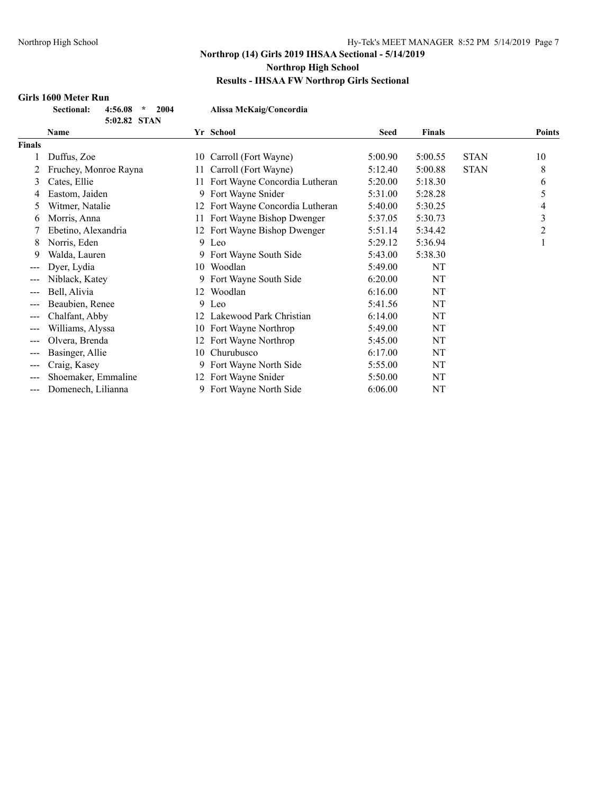#### **Girls 1600 Meter Run**

| <b>Sectional:</b> | 4:56.08 |             | 200 |
|-------------------|---------|-------------|-----|
|                   | E.N. 91 | <b>CTAN</b> |     |

**Sectional: 4:56.08 \* 2004 Alissa McKaig/Concordia**

|               | 5:02.82 STAN          |    |                                  |             |               |             |               |
|---------------|-----------------------|----|----------------------------------|-------------|---------------|-------------|---------------|
|               | Name                  |    | Yr School                        | <b>Seed</b> | <b>Finals</b> |             | <b>Points</b> |
| <b>Finals</b> |                       |    |                                  |             |               |             |               |
|               | Duffus, Zoe           | 10 | Carroll (Fort Wayne)             | 5:00.90     | 5:00.55       | <b>STAN</b> | 10            |
|               | Fruchey, Monroe Rayna | 11 | Carroll (Fort Wayne)             | 5:12.40     | 5:00.88       | <b>STAN</b> | 8             |
| 3             | Cates, Ellie          | 11 | Fort Wayne Concordia Lutheran    | 5:20.00     | 5:18.30       |             | 6             |
| 4             | Eastom, Jaiden        | 9  | Fort Wayne Snider                | 5:31.00     | 5:28.28       |             | 5             |
| 5             | Witmer, Natalie       |    | 12 Fort Wayne Concordia Lutheran | 5:40.00     | 5:30.25       |             | 4             |
| 6             | Morris, Anna          | 11 | Fort Wayne Bishop Dwenger        | 5:37.05     | 5:30.73       |             | 3             |
|               | Ebetino, Alexandria   |    | 12 Fort Wayne Bishop Dwenger     | 5:51.14     | 5:34.42       |             | 2             |
| 8             | Norris, Eden          |    | 9 Leo                            | 5:29.12     | 5:36.94       |             | 1             |
| 9             | Walda, Lauren         |    | 9 Fort Wayne South Side          | 5:43.00     | 5:38.30       |             |               |
| $---$         | Dyer, Lydia           | 10 | Woodlan                          | 5:49.00     | NT            |             |               |
| $---$         | Niblack, Katey        |    | 9 Fort Wayne South Side          | 6:20.00     | NT            |             |               |
|               | Bell, Alivia          | 12 | Woodlan                          | 6:16.00     | NT            |             |               |
| ---           | Beaubien, Renee       |    | 9 Leo                            | 5:41.56     | NT            |             |               |
| ---           | Chalfant, Abby        |    | 12 Lakewood Park Christian       | 6:14.00     | NT            |             |               |
| ---           | Williams, Alyssa      | 10 | Fort Wayne Northrop              | 5:49.00     | NT            |             |               |
| $---$         | Olvera, Brenda        | 12 | Fort Wayne Northrop              | 5:45.00     | NT            |             |               |
|               | Basinger, Allie       | 10 | Churubusco                       | 6:17.00     | NT            |             |               |
| ---           | Craig, Kasey          |    | 9 Fort Wayne North Side          | 5:55.00     | NT            |             |               |
| ---           | Shoemaker, Emmaline   | 12 | Fort Wayne Snider                | 5:50.00     | NT            |             |               |
| $---$         | Domenech, Lilianna    | 9. | Fort Wayne North Side            | 6:06.00     | NT            |             |               |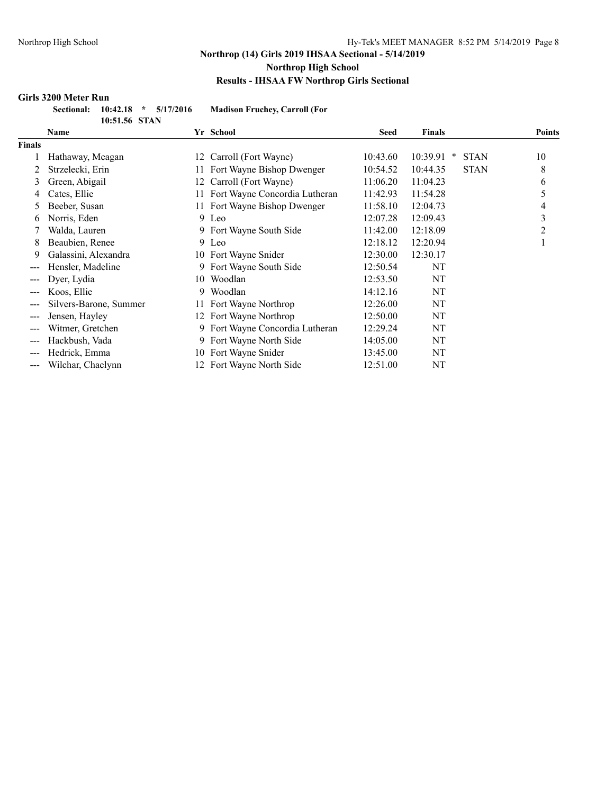#### **Girls 3200 Meter Run**

| Sectional: 10:42.18 * 5/17/2016 |               |  | <b>Madison Fruchey, Carroll (For</b> |
|---------------------------------|---------------|--|--------------------------------------|
|                                 | 10:51.56 STAN |  |                                      |

|               | 10.71.70 DIAT          |     |                               |             |               |             |               |
|---------------|------------------------|-----|-------------------------------|-------------|---------------|-------------|---------------|
|               | Name                   |     | Yr School                     | <b>Seed</b> | <b>Finals</b> |             | <b>Points</b> |
| <b>Finals</b> |                        |     |                               |             |               |             |               |
|               | Hathaway, Meagan       | 12  | Carroll (Fort Wayne)          | 10:43.60    | 10:39.91<br>× | <b>STAN</b> | 10            |
|               | Strzelecki, Erin       | 11  | Fort Wayne Bishop Dwenger     | 10:54.52    | 10:44.35      | <b>STAN</b> | 8             |
| 3             | Green, Abigail         | 12. | Carroll (Fort Wayne)          | 11:06.20    | 11:04.23      |             | 6             |
| 4             | Cates, Ellie           | 11  | Fort Wayne Concordia Lutheran | 11:42.93    | 11:54.28      |             | 5             |
| 5.            | Beeber, Susan          |     | 11 Fort Wayne Bishop Dwenger  | 11:58.10    | 12:04.73      |             | 4             |
| 6             | Norris, Eden           |     | 9 Leo                         | 12:07.28    | 12:09.43      |             | 3             |
| 7             | Walda, Lauren          |     | 9 Fort Wayne South Side       | 11:42.00    | 12:18.09      |             | 2             |
| 8             | Beaubien, Renee        |     | 9 Leo                         | 12:18.12    | 12:20.94      |             |               |
| 9             | Galassini, Alexandra   |     | 10 Fort Wayne Snider          | 12:30.00    | 12:30.17      |             |               |
| ---           | Hensler, Madeline      |     | 9 Fort Wayne South Side       | 12:50.54    | NT            |             |               |
| $---$         | Dyer, Lydia            |     | 10 Woodlan                    | 12:53.50    | NT            |             |               |
| $---$         | Koos, Ellie            | 9   | Woodlan                       | 14:12.16    | NT            |             |               |
| ---           | Silvers-Barone, Summer |     | 11 Fort Wayne Northrop        | 12:26.00    | NT            |             |               |
| ---           | Jensen, Hayley         |     | 12 Fort Wayne Northrop        | 12:50.00    | NT            |             |               |
|               | Witmer, Gretchen       | 9   | Fort Wayne Concordia Lutheran | 12:29.24    | NT            |             |               |
| ---           | Hackbush, Vada         |     | Fort Wayne North Side         | 14:05.00    | NT            |             |               |
| ---           | Hedrick, Emma          | 10  | Fort Wayne Snider             | 13:45.00    | NT            |             |               |
| ---           | Wilchar, Chaelynn      |     | 12 Fort Wayne North Side      | 12:51.00    | NT            |             |               |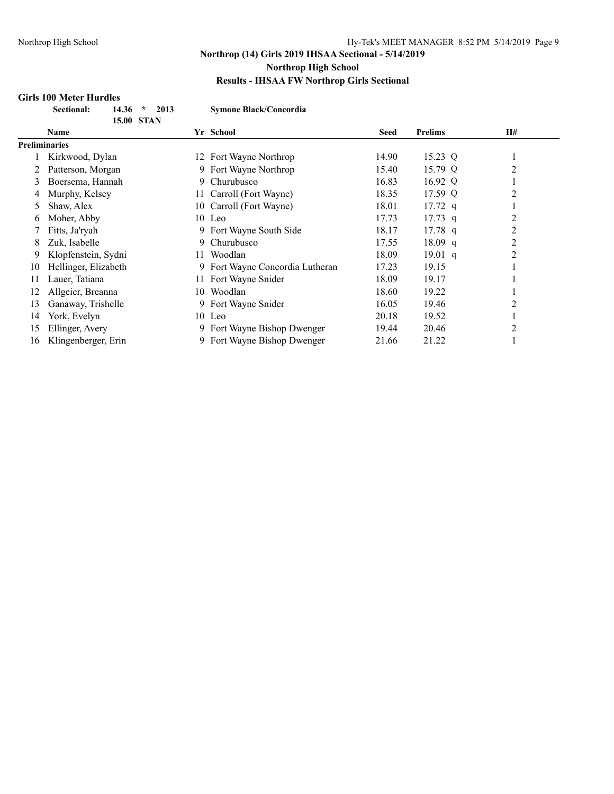## **Girls 100 Meter Hurdles**

| <b>Sectional:</b> | 14.36             | $\mathcal{H}$ | 2013 |
|-------------------|-------------------|---------------|------|
|                   | <b>15.00 STAN</b> |               |      |

 $Symone Black/Concordia$ 

|    | 15.00 STAN           |     |                               |             |                   |           |
|----|----------------------|-----|-------------------------------|-------------|-------------------|-----------|
|    | <b>Name</b>          |     | Yr School                     | <b>Seed</b> | <b>Prelims</b>    | <b>H#</b> |
|    | <b>Preliminaries</b> |     |                               |             |                   |           |
|    | Kirkwood, Dylan      | 12. | Fort Wayne Northrop           | 14.90       | 15.23 Q           |           |
|    | Patterson, Morgan    | 9.  | Fort Wayne Northrop           | 15.40       | 15.79 Q           | 2         |
| 3  | Boersema, Hannah     | 9.  | Churubusco                    | 16.83       | 16.92 Q           |           |
| 4  | Murphy, Kelsey       | 11. | Carroll (Fort Wayne)          | 18.35       | 17.59 Q           | 2         |
| 5  | Shaw, Alex           | 10  | Carroll (Fort Wayne)          | 18.01       | $17.72 \text{ q}$ |           |
| O  | Moher, Abby          |     | 10 Leo                        | 17.73       | $17.73$ q         | 2         |
|    | Fitts, Ja'ryah       | 9.  | Fort Wayne South Side         | 18.17       | $17.78$ q         | 2         |
| 8  | Zuk, Isabelle        | 9.  | Churubusco                    | 17.55       | 18.09 q           | 2         |
| 9  | Klopfenstein, Sydni  | 11  | Woodlan                       | 18.09       | $19.01$ q         | 2         |
| 10 | Hellinger, Elizabeth | 9.  | Fort Wayne Concordia Lutheran | 17.23       | 19.15             |           |
| 11 | Lauer, Tatiana       | 11  | Fort Wayne Snider             | 18.09       | 19.17             |           |
| 12 | Allgeier, Breanna    | 10. | Woodlan                       | 18.60       | 19.22             |           |
| 13 | Ganaway, Trishelle   | 9.  | Fort Wayne Snider             | 16.05       | 19.46             | 2         |
| 14 | York, Evelyn         |     | 10 Leo                        | 20.18       | 19.52             |           |
| 15 | Ellinger, Avery      | 9.  | Fort Wayne Bishop Dwenger     | 19.44       | 20.46             | 2         |
| 16 | Klingenberger, Erin  | 9.  | Fort Wayne Bishop Dwenger     | 21.66       | 21.22             |           |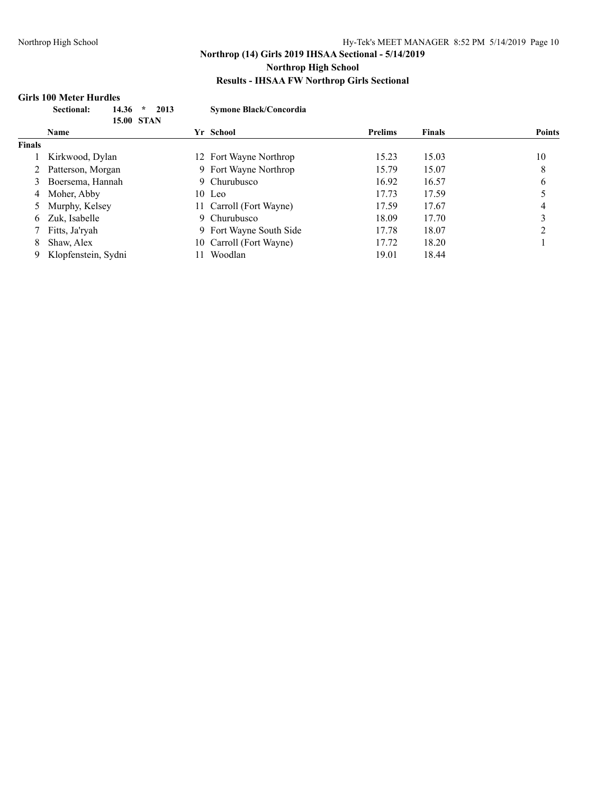#### **Girls 100 Meter Hurdles**

|               | Sectional:<br>14.36<br>$\star$<br><b>15.00 STAN</b> | 2013<br><b>Symone Black/Concordia</b> |                |               |               |
|---------------|-----------------------------------------------------|---------------------------------------|----------------|---------------|---------------|
|               | <b>Name</b>                                         | Yr School                             | <b>Prelims</b> | <b>Finals</b> | <b>Points</b> |
| <b>Finals</b> |                                                     |                                       |                |               |               |
|               | Kirkwood, Dylan                                     | 12 Fort Wayne Northrop                | 15.23          | 15.03         | 10            |
|               | Patterson, Morgan                                   | 9 Fort Wayne Northrop                 | 15.79          | 15.07         | 8             |
| 3             | Boersema, Hannah                                    | 9 Churubusco                          | 16.92          | 16.57         | 6             |
| 4             | Moher, Abby                                         | 10 Leo                                | 17.73          | 17.59         |               |
|               | Murphy, Kelsey                                      | 11 Carroll (Fort Wayne)               | 17.59          | 17.67         | 4             |
| 6.            | Zuk, Isabelle                                       | 9 Churubusco                          | 18.09          | 17.70         |               |
|               | Fitts, Ja'ryah                                      | 9 Fort Wayne South Side               | 17.78          | 18.07         |               |
| 8             | Shaw, Alex                                          | Carroll (Fort Wayne)<br>10-           | 17.72          | 18.20         |               |
|               | Klopfenstein, Sydni                                 | Woodlan                               | 19.01          | 18.44         |               |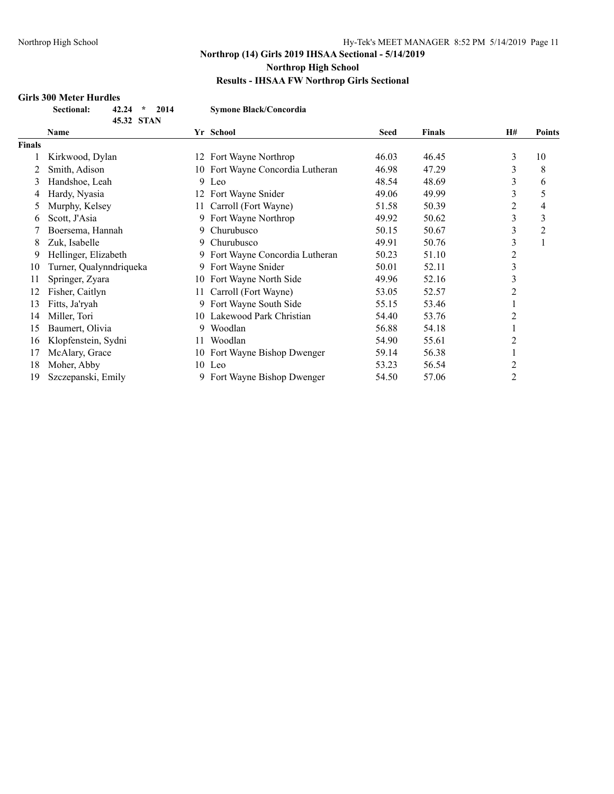## **Girls 300 Meter Hurdles**

| <b>Sectional:</b> | $42.24 * 2014$ |  |
|-------------------|----------------|--|
|                   | 45.32 STAN     |  |

 $Symone Black/Concordia$ 

|               | Name                    |     | Yr School                        | <b>Seed</b> | <b>Finals</b> | <b>H#</b>      | <b>Points</b>  |
|---------------|-------------------------|-----|----------------------------------|-------------|---------------|----------------|----------------|
| <b>Finals</b> |                         |     |                                  |             |               |                |                |
|               | Kirkwood, Dylan         |     | 12 Fort Wayne Northrop           | 46.03       | 46.45         | 3              | 10             |
|               | Smith, Adison           |     | 10 Fort Wayne Concordia Lutheran | 46.98       | 47.29         | 3              | 8              |
| 3             | Handshoe, Leah          |     | 9 Leo                            | 48.54       | 48.69         | 3              | 6              |
| 4             | Hardy, Nyasia           | 12. | Fort Wayne Snider                | 49.06       | 49.99         | 3              | 5              |
| 5             | Murphy, Kelsey          |     | 11 Carroll (Fort Wayne)          | 51.58       | 50.39         | 2              | 4              |
| 6             | Scott, J'Asia           |     | 9 Fort Wayne Northrop            | 49.92       | 50.62         | 3              | 3              |
|               | Boersema, Hannah        | 9   | Churubusco                       | 50.15       | 50.67         | 3              | $\overline{c}$ |
| 8             | Zuk, Isabelle           | 9   | Churubusco                       | 49.91       | 50.76         | 3              |                |
| 9             | Hellinger, Elizabeth    |     | Fort Wayne Concordia Lutheran    | 50.23       | 51.10         | 2              |                |
| 10            | Turner, Qualynndriqueka | 9.  | Fort Wayne Snider                | 50.01       | 52.11         | 3              |                |
| 11            | Springer, Zyara         |     | 10 Fort Wayne North Side         | 49.96       | 52.16         | 3              |                |
| 12            | Fisher, Caitlyn         | 11. | Carroll (Fort Wayne)             | 53.05       | 52.57         | 2              |                |
| 13            | Fitts, Ja'ryah          |     | Fort Wayne South Side            | 55.15       | 53.46         |                |                |
| 14            | Miller, Tori            |     | 10 Lakewood Park Christian       | 54.40       | 53.76         | 2              |                |
| 15            | Baumert, Olivia         | 9.  | Woodlan                          | 56.88       | 54.18         |                |                |
| 16            | Klopfenstein, Sydni     | 11. | Woodlan                          | 54.90       | 55.61         | 2              |                |
| 17            | McAlary, Grace          |     | 10 Fort Wayne Bishop Dwenger     | 59.14       | 56.38         |                |                |
| 18            | Moher, Abby             |     | 10 Leo                           | 53.23       | 56.54         | $\overline{c}$ |                |
| 19            | Szczepanski, Emily      |     | Fort Wayne Bishop Dwenger        | 54.50       | 57.06         | 2              |                |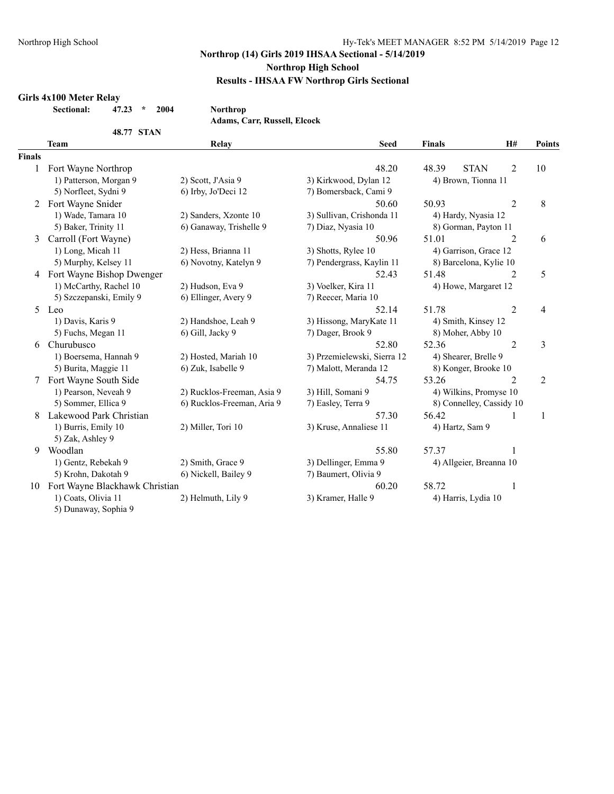#### **Girls 4x100 Meter Relay**

**Sectional: 47.23 \* 2004 Northrop**

**Adams, Carr, Russell, Elcock**

|               | <b>48.77 STAN</b>              | лайны, сагі, ілізген, ексек |                             |               |                          |                |                |
|---------------|--------------------------------|-----------------------------|-----------------------------|---------------|--------------------------|----------------|----------------|
|               | <b>Team</b>                    | Relay                       | <b>Seed</b>                 | <b>Finals</b> |                          | H#             | <b>Points</b>  |
| <b>Finals</b> |                                |                             |                             |               |                          |                |                |
| 1             | Fort Wayne Northrop            |                             | 48.20                       | 48.39         | <b>STAN</b>              | $\overline{2}$ | 10             |
|               | 1) Patterson, Morgan 9         | 2) Scott, J'Asia 9          | 3) Kirkwood, Dylan 12       |               | 4) Brown, Tionna 11      |                |                |
|               | 5) Norfleet, Sydni 9           | 6) Irby, Jo'Deci 12         | 7) Bomersback, Cami 9       |               |                          |                |                |
|               | 2 Fort Wayne Snider            |                             | 50.60                       | 50.93         |                          | $\overline{2}$ | $8\,$          |
|               | 1) Wade, Tamara 10             | 2) Sanders, Xzonte 10       | 3) Sullivan, Crishonda 11   |               | 4) Hardy, Nyasia 12      |                |                |
|               | 5) Baker, Trinity 11           | 6) Ganaway, Trishelle 9     | 7) Diaz, Nyasia 10          |               | 8) Gorman, Payton 11     |                |                |
| 3             | Carroll (Fort Wayne)           |                             | 50.96                       | 51.01         |                          | $\overline{2}$ | 6              |
|               | 1) Long, Micah 11              | 2) Hess, Brianna 11         | 3) Shotts, Rylee 10         |               | 4) Garrison, Grace 12    |                |                |
|               | 5) Murphy, Kelsey 11           | 6) Novotny, Katelyn 9       | 7) Pendergrass, Kaylin 11   |               | 8) Barcelona, Kylie 10   |                |                |
|               | 4 Fort Wayne Bishop Dwenger    |                             | 52.43                       | 51.48         |                          | $\overline{2}$ | 5              |
|               | 1) McCarthy, Rachel 10         | 2) Hudson, Eva 9            | 3) Voelker, Kira 11         |               | 4) Howe, Margaret 12     |                |                |
|               | 5) Szczepanski, Emily 9        | 6) Ellinger, Avery 9        | 7) Reecer, Maria 10         |               |                          |                |                |
| 5.            | Leo                            |                             | 52.14                       | 51.78         |                          | $\overline{2}$ | 4              |
|               | 1) Davis, Karis 9              | 2) Handshoe, Leah 9         | 3) Hissong, MaryKate 11     |               | 4) Smith, Kinsey 12      |                |                |
|               | 5) Fuchs, Megan 11             | 6) Gill, Jacky 9            | 7) Dager, Brook 9           |               | 8) Moher, Abby 10        |                |                |
| 6             | Churubusco                     |                             | 52.80                       | 52.36         |                          | $\overline{2}$ | 3              |
|               | 1) Boersema, Hannah 9          | 2) Hosted, Mariah 10        | 3) Przemielewski, Sierra 12 |               | 4) Shearer, Brelle 9     |                |                |
|               | 5) Burita, Maggie 11           | 6) Zuk, Isabelle 9          | 7) Malott, Meranda 12       |               | 8) Konger, Brooke 10     |                |                |
|               | Fort Wayne South Side          |                             | 54.75                       | 53.26         |                          | 2              | $\overline{c}$ |
|               | 1) Pearson, Neveah 9           | 2) Rucklos-Freeman, Asia 9  | 3) Hill, Somani 9           |               | 4) Wilkins, Promyse 10   |                |                |
|               | 5) Sommer, Ellica 9            | 6) Rucklos-Freeman, Aria 9  | 7) Easley, Terra 9          |               | 8) Connelley, Cassidy 10 |                |                |
|               | Lakewood Park Christian        |                             | 57.30                       | 56.42         |                          | 1              | $\mathbf{1}$   |
|               | 1) Burris, Emily 10            | 2) Miller, Tori 10          | 3) Kruse, Annaliese 11      |               | 4) Hartz, Sam 9          |                |                |
|               | 5) Zak, Ashley 9               |                             |                             |               |                          |                |                |
| 9             | Woodlan                        |                             | 55.80                       | 57.37         |                          | 1              |                |
|               | 1) Gentz, Rebekah 9            | 2) Smith, Grace 9           | 3) Dellinger, Emma 9        |               | 4) Allgeier, Breanna 10  |                |                |
|               | 5) Krohn, Dakotah 9            | 6) Nickell, Bailey 9        | 7) Baumert, Olivia 9        |               |                          |                |                |
| 10            | Fort Wayne Blackhawk Christian |                             | 60.20                       | 58.72         |                          | 1              |                |
|               | 1) Coats, Olivia 11            | 2) Helmuth, Lily 9          | 3) Kramer, Halle 9          |               | 4) Harris, Lydia 10      |                |                |
|               | 5) Dunaway, Sophia 9           |                             |                             |               |                          |                |                |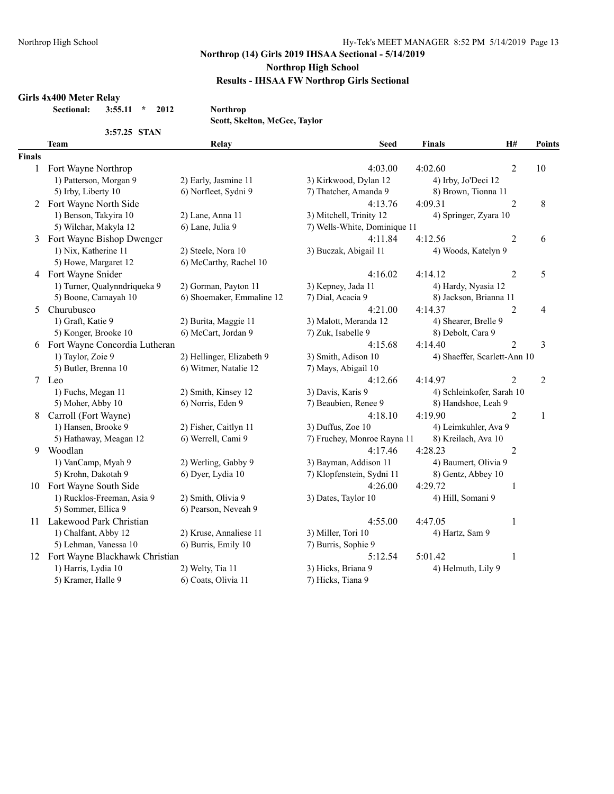#### **Girls 4x400 Meter Relay**

**Sectional: 3:55.11 \* 2012 Northrop**

**Scott, Skelton, McGee, Taylor**

|               | 3:57.25 STAN                      |                           |                              |                              |                |                |
|---------------|-----------------------------------|---------------------------|------------------------------|------------------------------|----------------|----------------|
|               | <b>Team</b>                       | Relay                     | <b>Seed</b>                  | <b>Finals</b>                | H#             | Points         |
| <b>Finals</b> |                                   |                           |                              |                              |                |                |
|               | 1 Fort Wayne Northrop             |                           | 4:03.00                      | 4:02.60                      | $\overline{2}$ | 10             |
|               | 1) Patterson, Morgan 9            | 2) Early, Jasmine 11      | 3) Kirkwood, Dylan 12        | 4) Irby, Jo'Deci 12          |                |                |
|               | 5) Irby, Liberty 10               | 6) Norfleet, Sydni 9      | 7) Thatcher, Amanda 9        | 8) Brown, Tionna 11          |                |                |
|               | 2 Fort Wayne North Side           |                           | 4:13.76                      | 4:09.31                      | $\overline{2}$ | 8              |
|               | 1) Benson, Takyira 10             | 2) Lane, Anna 11          | 3) Mitchell, Trinity 12      | 4) Springer, Zyara 10        |                |                |
|               | 5) Wilchar, Makyla 12             | 6) Lane, Julia 9          | 7) Wells-White, Dominique 11 |                              |                |                |
| 3             | Fort Wayne Bishop Dwenger         |                           | 4:11.84                      | 4:12.56                      | $\overline{2}$ | 6              |
|               | 1) Nix, Katherine 11              | 2) Steele, Nora 10        | 3) Buczak, Abigail 11        | 4) Woods, Katelyn 9          |                |                |
|               | 5) Howe, Margaret 12              | 6) McCarthy, Rachel 10    |                              |                              |                |                |
|               | 4 Fort Wayne Snider               |                           | 4:16.02                      | 4:14.12                      | $\overline{2}$ | 5              |
|               | 1) Turner, Qualynndriqueka 9      | 2) Gorman, Payton 11      | 3) Kepney, Jada 11           | 4) Hardy, Nyasia 12          |                |                |
|               | 5) Boone, Camayah 10              | 6) Shoemaker, Emmaline 12 | 7) Dial, Acacia 9            | 8) Jackson, Brianna 11       |                |                |
| 5.            | Churubusco                        |                           | 4:21.00                      | 4:14.37                      | $\overline{2}$ | 4              |
|               | 1) Graft, Katie 9                 | 2) Burita, Maggie 11      | 3) Malott, Meranda 12        | 4) Shearer, Brelle 9         |                |                |
|               | 5) Konger, Brooke 10              | 6) McCart, Jordan 9       | 7) Zuk, Isabelle 9           | 8) Debolt, Cara 9            |                |                |
| 6             | Fort Wayne Concordia Lutheran     |                           | 4:15.68                      | 4:14.40                      | $\overline{2}$ | 3              |
|               | 1) Taylor, Zoie 9                 | 2) Hellinger, Elizabeth 9 | 3) Smith, Adison 10          | 4) Shaeffer, Scarlett-Ann 10 |                |                |
|               | 5) Butler, Brenna 10              | 6) Witmer, Natalie 12     | 7) Mays, Abigail 10          |                              |                |                |
|               | 7 Leo                             |                           | 4:12.66                      | 4:14.97                      | $\overline{2}$ | $\overline{2}$ |
|               | 1) Fuchs, Megan 11                | 2) Smith, Kinsey 12       | 3) Davis, Karis 9            | 4) Schleinkofer, Sarah 10    |                |                |
|               | 5) Moher, Abby 10                 | 6) Norris, Eden 9         | 7) Beaubien, Renee 9         | 8) Handshoe, Leah 9          |                |                |
| 8             | Carroll (Fort Wayne)              |                           | 4:18.10                      | 4:19.90                      | $\overline{2}$ | $\mathbf{1}$   |
|               | 1) Hansen, Brooke 9               | 2) Fisher, Caitlyn 11     | 3) Duffus, Zoe 10            | 4) Leimkuhler, Ava 9         |                |                |
|               | 5) Hathaway, Meagan 12            | 6) Werrell, Cami 9        | 7) Fruchey, Monroe Rayna 11  | 8) Kreilach, Ava 10          |                |                |
| 9             | Woodlan                           |                           | 4:17.46                      | 4:28.23                      | $\overline{2}$ |                |
|               | 1) VanCamp, Myah 9                | 2) Werling, Gabby 9       | 3) Bayman, Addison 11        | 4) Baumert, Olivia 9         |                |                |
|               | 5) Krohn, Dakotah 9               | 6) Dyer, Lydia 10         | 7) Klopfenstein, Sydni 11    | 8) Gentz, Abbey 10           |                |                |
|               | 10 Fort Wayne South Side          |                           | 4:26.00                      | 4:29.72                      | $\mathbf{1}$   |                |
|               | 1) Rucklos-Freeman, Asia 9        | 2) Smith, Olivia 9        | 3) Dates, Taylor 10          | 4) Hill, Somani 9            |                |                |
|               | 5) Sommer, Ellica 9               | 6) Pearson, Neveah 9      |                              |                              |                |                |
|               | 11 Lakewood Park Christian        |                           | 4:55.00                      | 4:47.05                      | $\mathbf{1}$   |                |
|               | 1) Chalfant, Abby 12              | 2) Kruse, Annaliese 11    | 3) Miller, Tori 10           | 4) Hartz, Sam 9              |                |                |
|               | 5) Lehman, Vanessa 10             | 6) Burris, Emily 10       | 7) Burris, Sophie 9          |                              |                |                |
|               | 12 Fort Wayne Blackhawk Christian |                           | 5:12.54                      | 5:01.42                      | $\mathbf{1}$   |                |
|               | 1) Harris, Lydia 10               | 2) Welty, Tia 11          | 3) Hicks, Briana 9           | 4) Helmuth, Lily 9           |                |                |
|               | 5) Kramer, Halle 9                | 6) Coats, Olivia 11       | 7) Hicks, Tiana 9            |                              |                |                |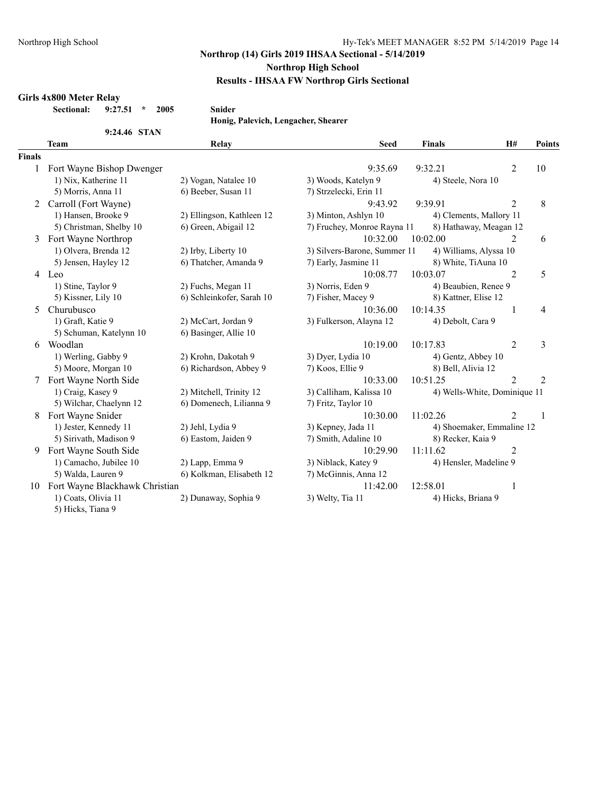#### **Girls 4x800 Meter Relay**

**Sectional: 9:27.51 \* 2005 Snider**

**9:24.46 STAN**

**Honig, Palevich, Lengacher, Shearer**

|               | <b>Team</b>                    | Relay                     | <b>Seed</b>                  | <b>Finals</b>                | H#             | Points         |
|---------------|--------------------------------|---------------------------|------------------------------|------------------------------|----------------|----------------|
| <b>Finals</b> |                                |                           |                              |                              |                |                |
| 1             | Fort Wayne Bishop Dwenger      |                           | 9:35.69                      | 9:32.21                      | $\overline{2}$ | 10             |
|               | 1) Nix, Katherine 11           | 2) Vogan, Natalee 10      | 3) Woods, Katelyn 9          | 4) Steele, Nora 10           |                |                |
|               | 5) Morris, Anna 11             | 6) Beeber, Susan 11       | 7) Strzelecki, Erin 11       |                              |                |                |
| 2             | Carroll (Fort Wayne)           |                           | 9:43.92                      | 9:39.91                      | $\overline{2}$ | 8              |
|               | 1) Hansen, Brooke 9            | 2) Ellingson, Kathleen 12 | 3) Minton, Ashlyn 10         | 4) Clements, Mallory 11      |                |                |
|               | 5) Christman, Shelby 10        | 6) Green, Abigail 12      | 7) Fruchey, Monroe Rayna 11  | 8) Hathaway, Meagan 12       |                |                |
| 3             | Fort Wayne Northrop            |                           | 10:32.00                     | 10:02.00                     | 2              | 6              |
|               | 1) Olvera, Brenda 12           | 2) Irby, Liberty 10       | 3) Silvers-Barone, Summer 11 | 4) Williams, Alyssa 10       |                |                |
|               | 5) Jensen, Hayley 12           | 6) Thatcher, Amanda 9     | 7) Early, Jasmine 11         | 8) White, TiAuna 10          |                |                |
|               | 4 Leo                          |                           | 10:08.77                     | 10:03.07                     | $\overline{2}$ | 5              |
|               | 1) Stine, Taylor 9             | 2) Fuchs, Megan 11        | 3) Norris, Eden 9            | 4) Beaubien, Renee 9         |                |                |
|               | 5) Kissner, Lily 10            | 6) Schleinkofer, Sarah 10 | 7) Fisher, Macey 9           | 8) Kattner, Elise 12         |                |                |
| 5             | Churubusco                     |                           | 10:36.00                     | 10:14.35                     | 1              | 4              |
|               | 1) Graft, Katie 9              | 2) McCart, Jordan 9       | 3) Fulkerson, Alayna 12      | 4) Debolt, Cara 9            |                |                |
|               | 5) Schuman, Katelynn 10        | 6) Basinger, Allie 10     |                              |                              |                |                |
| 6             | Woodlan                        |                           | 10:19.00                     | 10:17.83                     | $\overline{2}$ | 3              |
|               | 1) Werling, Gabby 9            | 2) Krohn, Dakotah 9       | 3) Dyer, Lydia 10            | 4) Gentz, Abbey 10           |                |                |
|               | 5) Moore, Morgan 10            | 6) Richardson, Abbey 9    | 7) Koos, Ellie 9             | 8) Bell, Alivia 12           |                |                |
|               | Fort Wayne North Side          |                           | 10:33.00                     | 10:51.25                     | $\overline{2}$ | $\overline{2}$ |
|               | 1) Craig, Kasey 9              | 2) Mitchell, Trinity 12   | 3) Calliham, Kalissa 10      | 4) Wells-White, Dominique 11 |                |                |
|               | 5) Wilchar, Chaelynn 12        | 6) Domenech, Lilianna 9   | 7) Fritz, Taylor 10          |                              |                |                |
| 8             | Fort Wayne Snider              |                           | 10:30.00                     | 11:02.26                     | $\mathfrak{D}$ | -1             |
|               | 1) Jester, Kennedy 11          | 2) Jehl, Lydia 9          | 3) Kepney, Jada 11           | 4) Shoemaker, Emmaline 12    |                |                |
|               | 5) Sirivath, Madison 9         | 6) Eastom, Jaiden 9       | 7) Smith, Adaline 10         | 8) Recker, Kaia 9            |                |                |
| 9             | Fort Wayne South Side          |                           | 10:29.90                     | 11:11.62                     | $\overline{2}$ |                |
|               | 1) Camacho, Jubilee 10         | 2) Lapp, Emma 9           | 3) Niblack, Katey 9          | 4) Hensler, Madeline 9       |                |                |
|               | 5) Walda, Lauren 9             | 6) Kolkman, Elisabeth 12  | 7) McGinnis, Anna 12         |                              |                |                |
| 10            | Fort Wayne Blackhawk Christian |                           | 11:42.00                     | 12:58.01                     | 1              |                |
|               | 1) Coats, Olivia 11            | 2) Dunaway, Sophia 9      | 3) Welty, Tia 11             | 4) Hicks, Briana 9           |                |                |
|               | 5) Hicks, Tiana 9              |                           |                              |                              |                |                |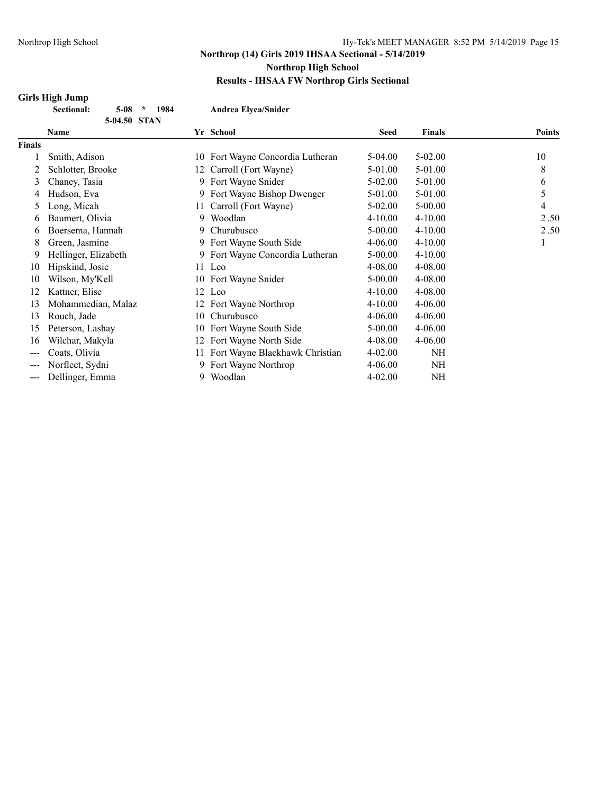# **Girls High Jump**<br>**Sectional**:

|               | Sectional:<br>$5-08$<br>1984<br>$\star$<br>5-04.50 STAN |    | <b>Andrea Elyea/Snider</b>       |             |               |               |
|---------------|---------------------------------------------------------|----|----------------------------------|-------------|---------------|---------------|
|               | <b>Name</b>                                             |    | Yr School                        | <b>Seed</b> | <b>Finals</b> | <b>Points</b> |
| <b>Finals</b> |                                                         |    |                                  |             |               |               |
|               | Smith, Adison                                           |    | 10 Fort Wayne Concordia Lutheran | $5-04.00$   | $5 - 02.00$   | 10            |
|               | Schlotter, Brooke                                       | 12 | Carroll (Fort Wayne)             | 5-01.00     | 5-01.00       | 8             |
| 3             | Chaney, Tasia                                           |    | 9 Fort Wayne Snider              | $5 - 02.00$ | 5-01.00       | 6             |
| 4             | Hudson, Eva                                             |    | 9 Fort Wayne Bishop Dwenger      | 5-01.00     | 5-01.00       | 5             |
| $\mathcal{L}$ | Long, Micah                                             | 11 | Carroll (Fort Wayne)             | 5-02.00     | $5 - 00.00$   | 4             |
| 6             | Baumert, Olivia                                         | 9  | Woodlan                          | $4 - 10.00$ | $4 - 10.00$   | 2.50          |
| 6             | Boersema, Hannah                                        | 9  | Churubusco                       | 5-00.00     | $4 - 10.00$   | 2.50          |
| 8             | Green, Jasmine                                          |    | 9 Fort Wayne South Side          | 4-06.00     | $4 - 10.00$   | 1             |
| 9             | Hellinger, Elizabeth                                    | 9  | Fort Wayne Concordia Lutheran    | 5-00.00     | $4 - 10.00$   |               |
| 10            | Hipskind, Josie                                         |    | 11 Leo                           | 4-08.00     | 4-08.00       |               |
| 10            | Wilson, My'Kell                                         |    | 10 Fort Wayne Snider             | $5 - 00.00$ | 4-08.00       |               |
| 12            | Kattner, Elise                                          | 12 | Leo                              | $4 - 10.00$ | 4-08.00       |               |
| 13            | Mohammedian, Malaz                                      | 12 | Fort Wayne Northrop              | $4 - 10.00$ | $4 - 06.00$   |               |
| 13            | Rouch, Jade                                             | 10 | Churubusco                       | 4-06.00     | $4 - 06.00$   |               |
| 15            | Peterson, Lashay                                        | 10 | Fort Wayne South Side            | 5-00.00     | $4 - 06.00$   |               |
| 16            | Wilchar, Makyla                                         | 12 | Fort Wayne North Side            | 4-08.00     | $4 - 06.00$   |               |
| ---           | Coats, Olivia                                           | 11 | Fort Wayne Blackhawk Christian   | $4 - 02.00$ | NH            |               |
|               | Norfleet, Sydni                                         | 9  | Fort Wayne Northrop              | $4 - 06.00$ | NH            |               |
| ---           | Dellinger, Emma                                         | 9  | Woodlan                          | $4 - 02.00$ | NH            |               |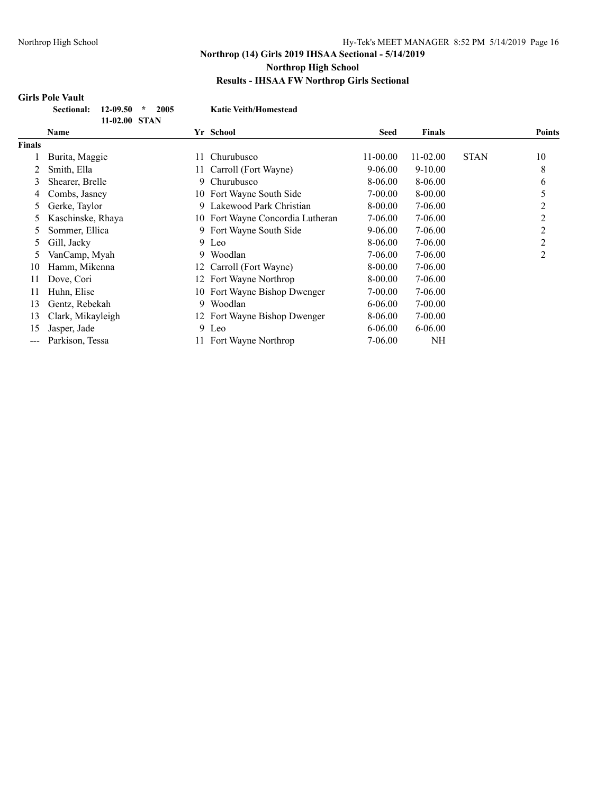## **Girls Pole Vault**

| Sectional: 12-09.50 * |               | -2005 |  |
|-----------------------|---------------|-------|--|
|                       | 11-02.00 STAN |       |  |

**Sectional: 12-09.50 \* 2005 Katie Veith/Homestead**

|        | Name              |     | Yr School                        | Seed         | <b>Finals</b> |             | <b>Points</b>  |
|--------|-------------------|-----|----------------------------------|--------------|---------------|-------------|----------------|
| Finals |                   |     |                                  |              |               |             |                |
|        | Burita, Maggie    | 11  | Churubusco                       | $11 - 00.00$ | $11 - 02.00$  | <b>STAN</b> | 10             |
|        | Smith, Ella       | 11- | Carroll (Fort Wayne)             | $9 - 06.00$  | $9-10.00$     |             | 8              |
| 3      | Shearer, Brelle   | 9.  | Churubusco                       | 8-06.00      | 8-06.00       |             | 6              |
| 4      | Combs, Jasney     |     | 10 Fort Wayne South Side         | 7-00.00      | 8-00.00       |             | 5              |
| 5      | Gerke, Taylor     | 9   | Lakewood Park Christian          | 8-00.00      | 7-06.00       |             | 2              |
| 5      | Kaschinske, Rhaya |     | 10 Fort Wayne Concordia Lutheran | 7-06.00      | 7-06.00       |             | 2              |
| 5      | Sommer, Ellica    | 9   | Fort Wayne South Side            | $9 - 06.00$  | 7-06.00       |             | 2              |
| 5      | Gill, Jacky       |     | 9 Leo                            | 8-06.00      | 7-06.00       |             | 2              |
| 5      | VanCamp, Myah     | 9   | Woodlan                          | 7-06.00      | 7-06.00       |             | $\overline{2}$ |
| 10     | Hamm, Mikenna     |     | 12 Carroll (Fort Wayne)          | 8-00.00      | 7-06.00       |             |                |
| 11     | Dove, Cori        | 12. | Fort Wayne Northrop              | 8-00.00      | 7-06.00       |             |                |
| 11     | Huhn, Elise       | 10  | Fort Wayne Bishop Dwenger        | 7-00.00      | 7-06.00       |             |                |
| 13     | Gentz, Rebekah    | 9   | Woodlan                          | $6 - 06.00$  | $7 - 00.00$   |             |                |
| 13     | Clark, Mikayleigh |     | 12 Fort Wayne Bishop Dwenger     | 8-06.00      | $7 - 00.00$   |             |                |
| 15     | Jasper, Jade      |     | 9 Leo                            | $6 - 06.00$  | $6 - 06.00$   |             |                |
| ---    | Parkison, Tessa   |     | Fort Wayne Northrop              | 7-06.00      | NH            |             |                |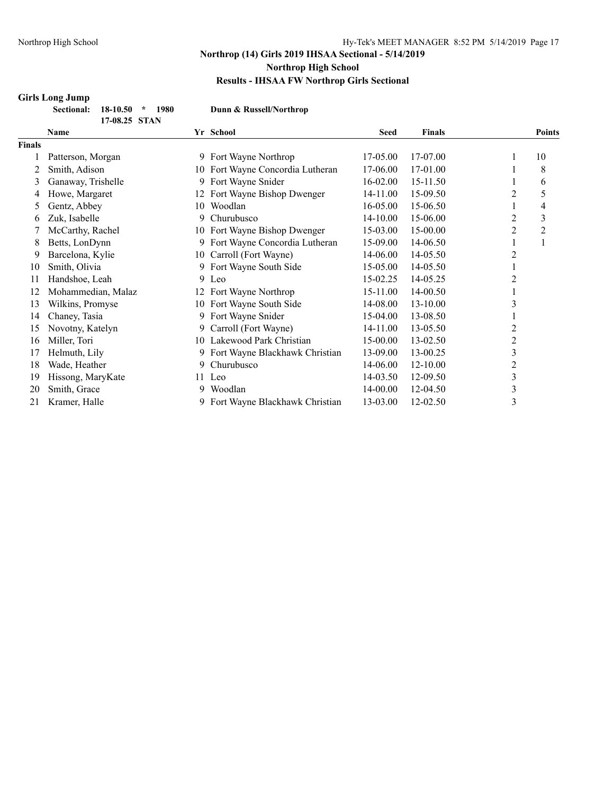## **Girls Long Jump**

| <b>Sectional: 18-10.50</b> | 1980          | Dunn & Russell/Northrop |
|----------------------------|---------------|-------------------------|
|                            | 17-08.25 STAN |                         |

| $1/-00.25$ $51$ AN |                    |    |                                |              |               |                |        |
|--------------------|--------------------|----|--------------------------------|--------------|---------------|----------------|--------|
|                    | <b>Name</b>        |    | Yr School                      | <b>Seed</b>  | <b>Finals</b> |                | Points |
| <b>Finals</b>      |                    |    |                                |              |               |                |        |
|                    | Patterson, Morgan  |    | 9 Fort Wayne Northrop          | 17-05.00     | 17-07.00      | 1              | 10     |
|                    | Smith, Adison      | 10 | Fort Wayne Concordia Lutheran  | 17-06.00     | 17-01.00      |                | 8      |
| 3                  | Ganaway, Trishelle | 9  | Fort Wayne Snider              | $16 - 02.00$ | 15-11.50      |                | 6      |
| 4                  | Howe, Margaret     | 12 | Fort Wayne Bishop Dwenger      | 14-11.00     | 15-09.50      | 2              | 5      |
| 5                  | Gentz, Abbey       | 10 | Woodlan                        | 16-05.00     | 15-06.50      |                | 4      |
| 6                  | Zuk, Isabelle      | 9. | Churubusco                     | 14-10.00     | 15-06.00      | 2              | 3      |
|                    | McCarthy, Rachel   | 10 | Fort Wayne Bishop Dwenger      | 15-03.00     | 15-00.00      | 2              | 2      |
| 8                  | Betts, LonDynn     | 9  | Fort Wayne Concordia Lutheran  | 15-09.00     | 14-06.50      |                |        |
| 9                  | Barcelona, Kylie   |    | 10 Carroll (Fort Wayne)        | 14-06.00     | 14-05.50      | 2              |        |
| 10                 | Smith, Olivia      | 9  | Fort Wayne South Side          | 15-05.00     | 14-05.50      |                |        |
| 11                 | Handshoe, Leah     |    | 9 Leo                          | 15-02.25     | 14-05.25      | 2              |        |
| 12                 | Mohammedian, Malaz | 12 | Fort Wayne Northrop            | 15-11.00     | 14-00.50      |                |        |
| 13                 | Wilkins, Promyse   |    | 10 Fort Wayne South Side       | 14-08.00     | $13 - 10.00$  | 3              |        |
| 14                 | Chaney, Tasia      |    | 9 Fort Wayne Snider            | 15-04.00     | 13-08.50      |                |        |
| 15                 | Novotny, Katelyn   | 9. | Carroll (Fort Wayne)           | 14-11.00     | 13-05.50      | 2              |        |
| 16                 | Miller, Tori       |    | 10 Lakewood Park Christian     | 15-00.00     | 13-02.50      | $\overline{c}$ |        |
| 17                 | Helmuth, Lily      | 9  | Fort Wayne Blackhawk Christian | 13-09.00     | 13-00.25      | 3              |        |
| 18                 | Wade, Heather      | 9  | Churubusco                     | 14-06.00     | 12-10.00      | 2              |        |
| 19                 | Hissong, MaryKate  | 11 | Leo                            | 14-03.50     | 12-09.50      | 3              |        |
| 20                 | Smith, Grace       | 9  | Woodlan                        | 14-00.00     | 12-04.50      | 3              |        |
| 21                 | Kramer, Halle      | 9  | Fort Wayne Blackhawk Christian | 13-03.00     | 12-02.50      | 3              |        |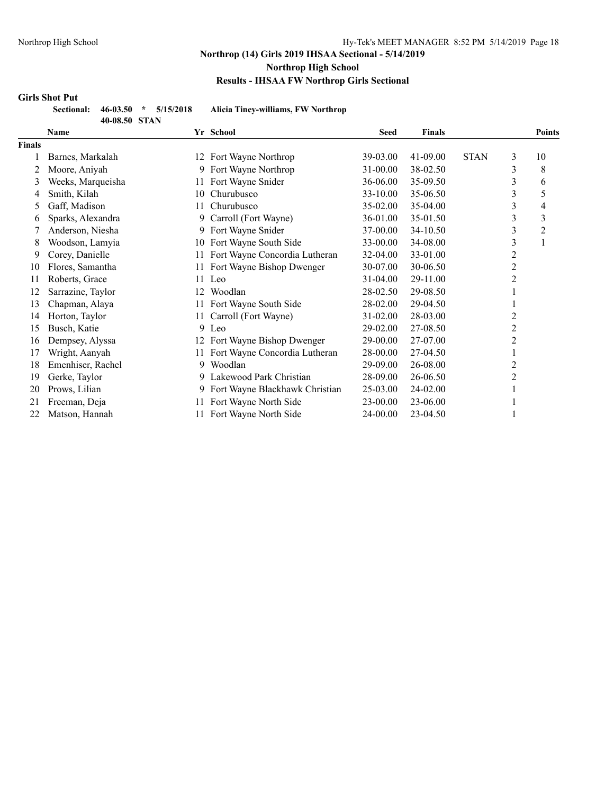#### **Girls Shot Put**

| nal: | 46-03.50      | ÷ | 5/15/2 |
|------|---------------|---|--------|
|      | 40-08.50 STAN |   |        |

**Sectional: 46-03.50 \* 5/15/2018 Alicia Tiney-williams, FW Northrop**

| 5111              |    |                                |                                                                                      |               |             |                |               |
|-------------------|----|--------------------------------|--------------------------------------------------------------------------------------|---------------|-------------|----------------|---------------|
| Name              |    |                                | <b>Seed</b>                                                                          | <b>Finals</b> |             |                | <b>Points</b> |
|                   |    |                                |                                                                                      |               |             |                |               |
| Barnes, Markalah  |    | Fort Wayne Northrop            | 39-03.00                                                                             | 41-09.00      | <b>STAN</b> | 3              | 10            |
| Moore, Aniyah     | 9  | Fort Wayne Northrop            | 31-00.00                                                                             | 38-02.50      |             | 3              | 8             |
| Weeks, Marqueisha | 11 | Fort Wayne Snider              | 36-06.00                                                                             | 35-09.50      |             | 3              | 6             |
| Smith, Kilah      |    | Churubusco                     | 33-10.00                                                                             | 35-06.50      |             | 3              | 5             |
| Gaff, Madison     |    | Churubusco                     | 35-02.00                                                                             | 35-04.00      |             | 3              | 4             |
| Sparks, Alexandra | 9  | Carroll (Fort Wayne)           | 36-01.00                                                                             | 35-01.50      |             | 3              | 3             |
| Anderson, Niesha  | 9  | Fort Wayne Snider              | 37-00.00                                                                             | 34-10.50      |             | 3              | 2             |
| Woodson, Lamyia   |    | Fort Wayne South Side          | 33-00.00                                                                             | 34-08.00      |             | 3              |               |
| Corey, Danielle   |    | Fort Wayne Concordia Lutheran  | 32-04.00                                                                             | 33-01.00      |             | 2              |               |
| Flores, Samantha  |    | Fort Wayne Bishop Dwenger      | 30-07.00                                                                             | 30-06.50      |             | $\overline{c}$ |               |
| Roberts, Grace    | 11 | Leo                            | 31-04.00                                                                             | 29-11.00      |             | $\overline{c}$ |               |
| Sarrazine, Taylor | 12 | Woodlan                        | 28-02.50                                                                             | 29-08.50      |             |                |               |
| Chapman, Alaya    |    | Fort Wayne South Side          | 28-02.00                                                                             | 29-04.50      |             |                |               |
| Horton, Taylor    |    | Carroll (Fort Wayne)           | 31-02.00                                                                             | 28-03.00      |             | 2              |               |
| Busch, Katie      |    |                                | 29-02.00                                                                             | 27-08.50      |             | $\overline{2}$ |               |
| Dempsey, Alyssa   |    | Fort Wayne Bishop Dwenger      | 29-00.00                                                                             | 27-07.00      |             | 2              |               |
| Wright, Aanyah    |    | Fort Wayne Concordia Lutheran  | 28-00.00                                                                             | 27-04.50      |             |                |               |
| Emenhiser, Rachel |    | Woodlan                        | 29-09.00                                                                             | 26-08.00      |             | 2              |               |
| Gerke, Taylor     |    | Lakewood Park Christian        | 28-09.00                                                                             | 26-06.50      |             | 2              |               |
| Prows, Lilian     | 9  | Fort Wayne Blackhawk Christian | 25-03.00                                                                             | 24-02.00      |             |                |               |
| Freeman, Deja     | 11 | Fort Wayne North Side          | 23-00.00                                                                             | 23-06.00      |             |                |               |
| Matson, Hannah    |    | Fort Wayne North Side          | 24-00.00                                                                             | 23-04.50      |             |                |               |
|                   |    |                                | Yr School<br>12<br>10<br>11.<br>10<br>11<br>11<br>11<br>9 Leo<br>12<br>11<br>9.<br>9 |               |             |                |               |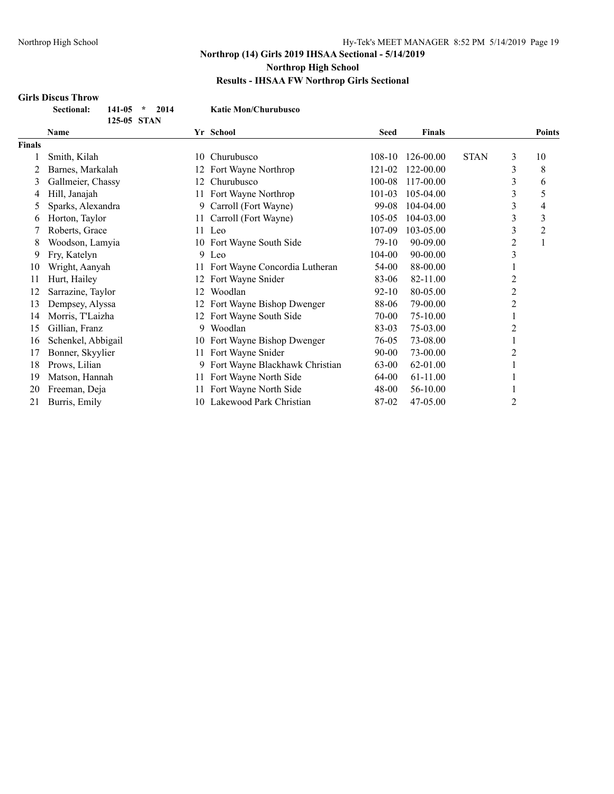## **Girls Discus Throw**

| Sectional: | $141-05$ *  | 2014 | <b>Katie Mon/Churubusco</b> |
|------------|-------------|------|-----------------------------|
|            | 125-05 STAN |      |                             |

|               | 143-VƏ ƏTAIY       |     |                                |             |               |             |   |               |
|---------------|--------------------|-----|--------------------------------|-------------|---------------|-------------|---|---------------|
|               | <b>Name</b>        |     | Yr School                      | <b>Seed</b> | <b>Finals</b> |             |   | <b>Points</b> |
| <b>Finals</b> |                    |     |                                |             |               |             |   |               |
|               | Smith, Kilah       | 10  | Churubusco                     | $108-10$    | 126-00.00     | <b>STAN</b> | 3 | 10            |
|               | Barnes, Markalah   | 12  | Fort Wayne Northrop            | 121-02      | 122-00.00     |             | 3 | 8             |
| 3             | Gallmeier, Chassy  | 12  | Churubusco                     | 100-08      | 117-00.00     |             | 3 | 6             |
| 4             | Hill, Janajah      | 11. | Fort Wayne Northrop            | 101-03      | 105-04.00     |             | 3 | 5             |
| 5             | Sparks, Alexandra  | 9.  | Carroll (Fort Wayne)           | 99-08       | 104-04.00     |             | 3 | 4             |
| 6             | Horton, Taylor     | 11  | Carroll (Fort Wayne)           | 105-05      | 104-03.00     |             | 3 | 3             |
|               | Roberts, Grace     | 11  | Leo                            | 107-09      | 103-05.00     |             | 3 | 2             |
| 8             | Woodson, Lamyia    |     | 10 Fort Wayne South Side       | 79-10       | 90-09.00      |             | 2 |               |
| 9             | Fry, Katelyn       |     | 9 Leo                          | 104-00      | 90-00.00      |             | 3 |               |
| 10            | Wright, Aanyah     |     | Fort Wayne Concordia Lutheran  | 54-00       | 88-00.00      |             |   |               |
| 11            | Hurt, Hailey       | 12  | Fort Wayne Snider              | 83-06       | 82-11.00      |             | 2 |               |
| 12            | Sarrazine, Taylor  | 12  | Woodlan                        | $92 - 10$   | 80-05.00      |             | 2 |               |
| 13            | Dempsey, Alyssa    | 12  | Fort Wayne Bishop Dwenger      | 88-06       | 79-00.00      |             | 2 |               |
| 14            | Morris, T'Laizha   | 12  | Fort Wayne South Side          | 70-00       | 75-10.00      |             |   |               |
| 15            | Gillian, Franz     | 9.  | Woodlan                        | 83-03       | 75-03.00      |             | 2 |               |
| 16            | Schenkel, Abbigail | 10  | Fort Wayne Bishop Dwenger      | 76-05       | 73-08.00      |             |   |               |
| 17            | Bonner, Skyylier   | 11  | Fort Wayne Snider              | 90-00       | 73-00.00      |             | 2 |               |
| 18            | Prows, Lilian      | 9.  | Fort Wayne Blackhawk Christian | $63 - 00$   | 62-01.00      |             |   |               |
| 19            | Matson, Hannah     | 11  | Fort Wayne North Side          | 64-00       | 61-11.00      |             |   |               |
| 20            | Freeman, Deja      |     | Fort Wayne North Side          | 48-00       | 56-10.00      |             |   |               |
| 21            | Burris, Emily      | 10  | Lakewood Park Christian        | 87-02       | 47-05.00      |             | 2 |               |